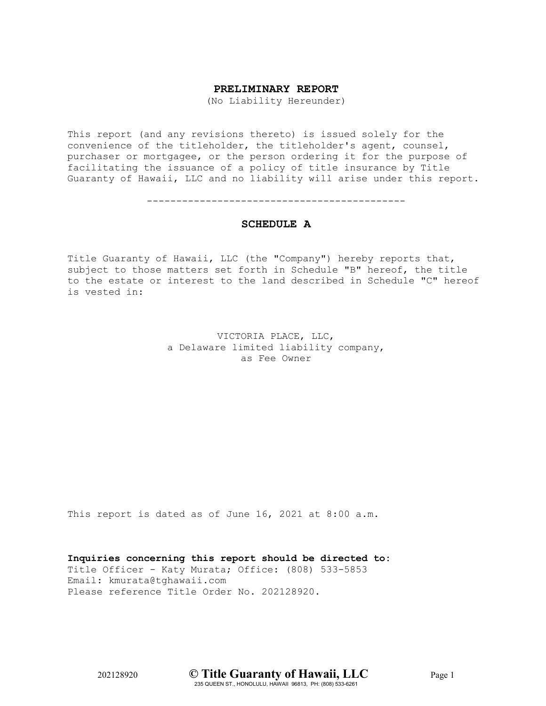# **PRELIMINARY REPORT**

(No Liability Hereunder)

This report (and any revisions thereto) is issued solely for the convenience of the titleholder, the titleholder's agent, counsel, purchaser or mortgagee, or the person ordering it for the purpose of facilitating the issuance of a policy of title insurance by Title Guaranty of Hawaii, LLC and no liability will arise under this report.

--------------------------------------------

## **SCHEDULE A**

Title Guaranty of Hawaii, LLC (the "Company") hereby reports that, subject to those matters set forth in Schedule "B" hereof, the title to the estate or interest to the land described in Schedule "C" hereof is vested in:

> VICTORIA PLACE, LLC, a Delaware limited liability company, as Fee Owner

This report is dated as of June 16, 2021 at 8:00 a.m.

**Inquiries concerning this report should be directed to:** Title Officer - Katy Murata; Office: (808) 533-5853 Email: kmurata@tghawaii.com Please reference Title Order No. 202128920.

202128920 **© Title Guaranty of Hawaii, LLC** Page 1 235 QUEEN ST., HONOLULU, HAWAII 96813, PH: (808) 533-6261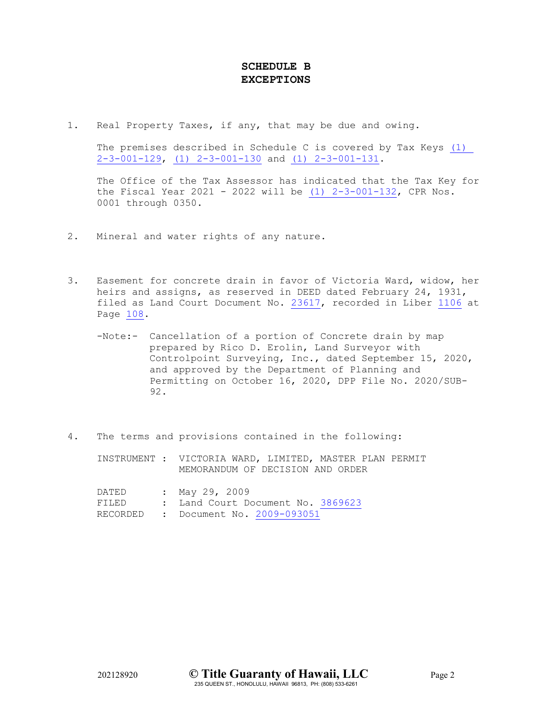# **SCHEDULE B EXCEPTIONS**

1. Real Property Taxes, if any, that may be due and owing.

The premises described in Schedule C is covered by Tax Keys [\(1\)](https://docservice.tghawaii.com/EDIVH/2d6d54736d433061554f4131/6861554b6c757a39354b7331/4c51584c32364a355159736f39456a7a38425f5a754b684a4c5741644e646c2d30/)  [2-3-001-129, \(1\) 2-3-001-130](https://docservice.tghawaii.com/EDIVH/2d6d54736d433061554f4131/6861554b6c757a39354b7331/4c51584c32364a355159736f39456a7a38425f5a754b684a4c5741644e646c2d30/) and [\(1\) 2-3-001-131.](https://docservice.tghawaii.com/EDIVH/2d6d54736d433061554f4131/6861554b6c757a39354b7331/4c51584c32364a355159736f39456a7a38425f5a754b684a4c5741644e646c2d30/)

The Office of the Tax Assessor has indicated that the Tax Key for the Fiscal Year 2021 - 2022 will be  $(1)$  2-3-001-132, CPR Nos. 0001 through 0350.

- 2. Mineral and water rights of any nature.
- 3. Easement for concrete drain in favor of Victoria Ward, widow, her heirs and assigns, as reserved in DEED dated February 24, 1931, filed as Land Court Document No. [23617,](https://docservice.tghawaii.com/EDIVH/776b74336632385a4f565131/537179594665587830663831/4c51584c32364a355159736f39456a7a38425f5a754b684a4c5741644e646c2d30/) recorded in Liber [1106](https://docservice.tghawaii.com/EDIVH/58544f67432d566739716e52516645764c727054567732/537179594665587830663831/4c51584c32364a355159736f39456a7a38425f5a754b684a4c5741644e646c2d30/) at Page [108.](https://docservice.tghawaii.com/EDIVH/58544f67432d566739716e52516645764c727054567732/537179594665587830663831/4c51584c32364a355159736f39456a7a38425f5a754b684a4c5741644e646c2d30/)
	- -Note:- Cancellation of a portion of Concrete drain by map prepared by Rico D. Erolin, Land Surveyor with Controlpoint Surveying, Inc., dated September 15, 2020, and approved by the Department of Planning and Permitting on October 16, 2020, DPP File No. 2020/SUB-92.
- 4. The terms and provisions contained in the following:

INSTRUMENT : VICTORIA WARD, LIMITED, MASTER PLAN PERMIT MEMORANDUM OF DECISION AND ORDER

| DATED | : May 29, 2009                      |
|-------|-------------------------------------|
| FILED | : Land Court Document No. 3869623   |
|       | RECORDED : Document No. 2009-093051 |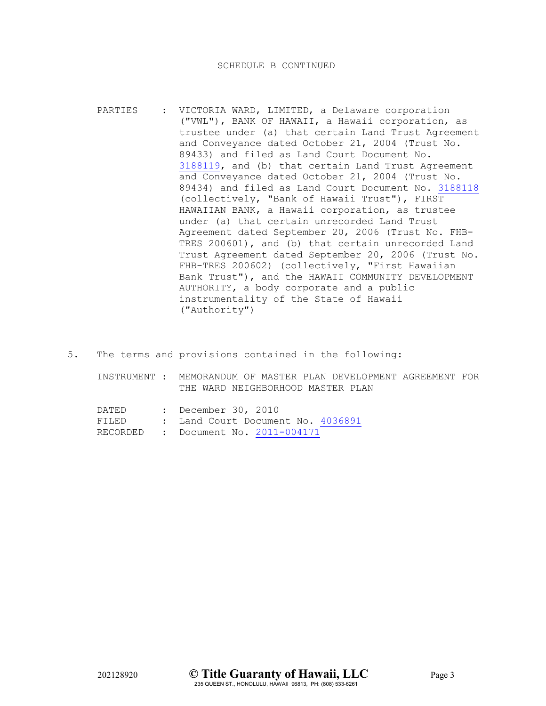- PARTIES : VICTORIA WARD, LIMITED, a Delaware corporation ("VWL"), BANK OF HAWAII, a Hawaii corporation, as trustee under (a) that certain Land Trust Agreement and Conveyance dated October 21, 2004 (Trust No. 89433) and filed as Land Court Document No. [3188119,](https://docservice.tghawaii.com/EDIVH/5a3941572d3878636c523631532d6f33644a5a4a505132/537179594665587830663831/4c51584c32364a35515973526d434a5835515a5a624d5f37734241524b58474730/) and (b) that certain Land Trust Agreement and Conveyance dated October 21, 2004 (Trust No. 89434) and filed as Land Court Document No. [3188118](https://docservice.tghawaii.com/EDIVH/3750696865556356794c704d3556787078785769535132/537179594665587830663831/4c51584c32364a35515973526d434a5835515a5a624d5f37734241524b58474730/) (collectively, "Bank of Hawaii Trust"), FIRST HAWAIIAN BANK, a Hawaii corporation, as trustee under (a) that certain unrecorded Land Trust Agreement dated September 20, 2006 (Trust No. FHB-TRES 200601), and (b) that certain unrecorded Land Trust Agreement dated September 20, 2006 (Trust No. FHB-TRES 200602) (collectively, "First Hawaiian Bank Trust"), and the HAWAII COMMUNITY DEVELOPMENT AUTHORITY, a body corporate and a public instrumentality of the State of Hawaii ("Authority")
- 5. The terms and provisions contained in the following:
	- INSTRUMENT : MEMORANDUM OF MASTER PLAN DEVELOPMENT AGREEMENT FOR THE WARD NEIGHBORHOOD MASTER PLAN

| DATED | : December 30, 2010                 |
|-------|-------------------------------------|
| FILED | : Land Court Document No. 4036891   |
|       | RECORDED : Document No. 2011-004171 |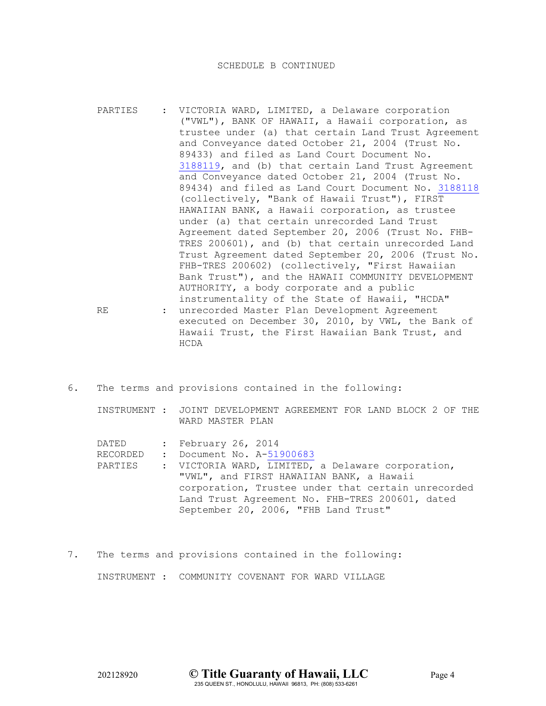- PARTIES : VICTORIA WARD, LIMITED, a Delaware corporation ("VWL"), BANK OF HAWAII, a Hawaii corporation, as trustee under (a) that certain Land Trust Agreement and Conveyance dated October 21, 2004 (Trust No. 89433) and filed as Land Court Document No. [3188119,](https://docservice.tghawaii.com/EDIVH/5a3941572d3878636c523631532d6f33644a5a4a505132/537179594665587830663831/4c51584c32364a35515973526d434a5835515a5a624d5f37734241524b58474730/) and (b) that certain Land Trust Agreement and Conveyance dated October 21, 2004 (Trust No. 89434) and filed as Land Court Document No. [3188118](https://docservice.tghawaii.com/EDIVH/3750696865556356794c704d3556787078785769535132/537179594665587830663831/4c51584c32364a35515973526d434a5835515a5a624d5f37734241524b58474730/) (collectively, "Bank of Hawaii Trust"), FIRST HAWAIIAN BANK, a Hawaii corporation, as trustee under (a) that certain unrecorded Land Trust Agreement dated September 20, 2006 (Trust No. FHB-TRES 200601), and (b) that certain unrecorded Land Trust Agreement dated September 20, 2006 (Trust No. FHB-TRES 200602) (collectively, "First Hawaiian Bank Trust"), and the HAWAII COMMUNITY DEVELOPMENT AUTHORITY, a body corporate and a public instrumentality of the State of Hawaii, "HCDA" RE : unrecorded Master Plan Development Agreement executed on December 30, 2010, by VWL, the Bank of Hawaii Trust, the First Hawaiian Bank Trust, and HCDA
- 6. The terms and provisions contained in the following:

INSTRUMENT : JOINT DEVELOPMENT AGREEMENT FOR LAND BLOCK 2 OF THE WARD MASTER PLAN

DATED : February 26, 2014<br>RECORDED : Document No. A-51

: Document No. A[-51900683](https://docservice.tghawaii.com/EDIVH/386e7658536159675056506e4552794a6f3954377a5132/537179594665587830663831/4c51584c32364a35515973526d434a5835515a5a624d5f37734241524b58474730/)

- PARTIES : VICTORIA WARD, LIMITED, a Delaware corporation, "VWL", and FIRST HAWAIIAN BANK, a Hawaii corporation, Trustee under that certain unrecorded Land Trust Agreement No. FHB-TRES 200601, dated September 20, 2006, "FHB Land Trust"
- 7. The terms and provisions contained in the following: INSTRUMENT : COMMUNITY COVENANT FOR WARD VILLAGE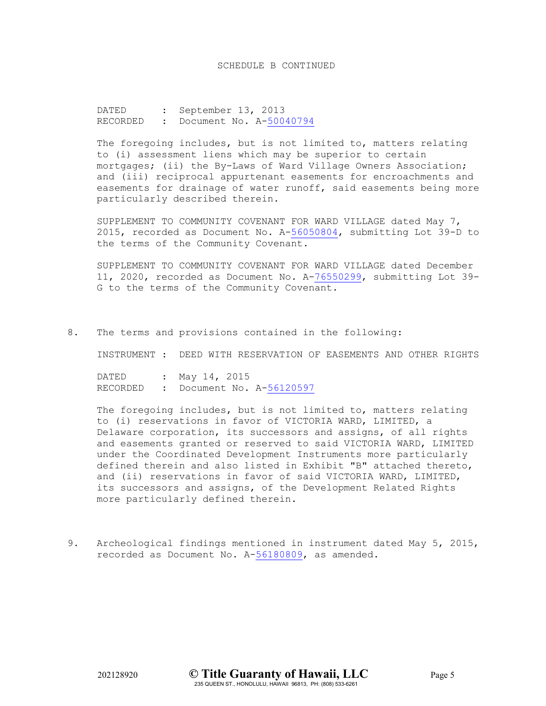DATED : September 13, 2013 RECORDED : Document No. A[-50040794](https://docservice.tghawaii.com/EDIVH/5452696a2d624e4b4731382d6d746a77416d5636324132/537179594665587830663831/4c51584c32364a35515973526d434a5835515a5a624d5f37734241524b58474730/)

The foregoing includes, but is not limited to, matters relating to (i) assessment liens which may be superior to certain mortgages; (ii) the By-Laws of Ward Village Owners Association; and (iii) reciprocal appurtenant easements for encroachments and easements for drainage of water runoff, said easements being more particularly described therein.

SUPPLEMENT TO COMMUNITY COVENANT FOR WARD VILLAGE dated May 7, 2015, recorded as Document No. A[-56050804,](https://docservice.tghawaii.com/EDIVH/7258576970484f3078334b473036564965667170367732/537179594665587830663831/4c51584c32364a35515973526d434a5835515a5a624d5f37734241524b58474730/) submitting Lot 39-D to the terms of the Community Covenant.

SUPPLEMENT TO COMMUNITY COVENANT FOR WARD VILLAGE dated December 11, 2020, recorded as Document No. A[-76550299,](https://docservice.tghawaii.com/EDIVH/4e4c6c5a4c41657778306e7a6553347978636265785132/537179594665587830663831/4c51584c32364a35515973526d434a5835515a5a624d5f37734241524b58474730/) submitting Lot 39- G to the terms of the Community Covenant.

8. The terms and provisions contained in the following:

INSTRUMENT : DEED WITH RESERVATION OF EASEMENTS AND OTHER RIGHTS

DATED : May 14, 2015<br>RECORDED : Document No. : Document No. A[-56120597](https://docservice.tghawaii.com/EDIVH/4631783062744a65427839647a57302d51393530434132/537179594665587830663831/4c51584c32364a35515973526d434a5835515a5a624d5f37734241524b58474730/)

The foregoing includes, but is not limited to, matters relating to (i) reservations in favor of VICTORIA WARD, LIMITED, a Delaware corporation, its successors and assigns, of all rights and easements granted or reserved to said VICTORIA WARD, LIMITED under the Coordinated Development Instruments more particularly defined therein and also listed in Exhibit "B" attached thereto, and (ii) reservations in favor of said VICTORIA WARD, LIMITED, its successors and assigns, of the Development Related Rights more particularly defined therein.

9. Archeological findings mentioned in instrument dated May 5, 2015, recorded as Document No. A[-56180809,](https://docservice.tghawaii.com/EDIVH/444e4e7a716b413373474a71476153675262486e6a5132/537179594665587830663831/4c51584c32364a35515973526d434a5835515a5a624d5f37734241524b58474730/) as amended.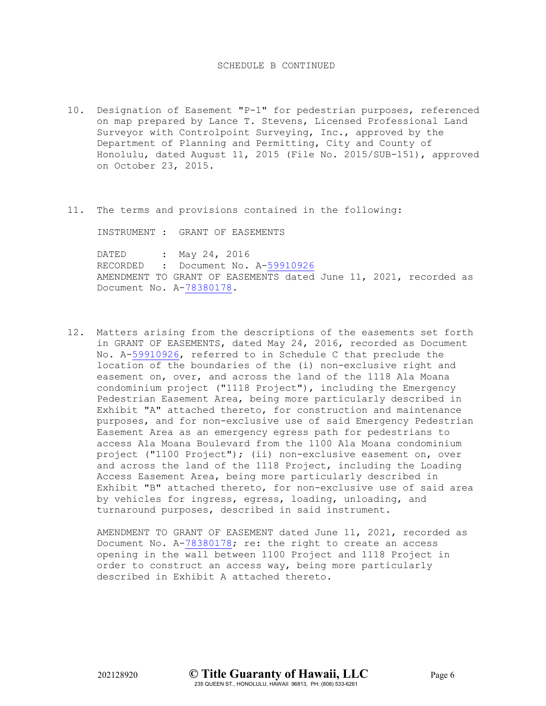- 10. Designation of Easement "P-1" for pedestrian purposes, referenced on map prepared by Lance T. Stevens, Licensed Professional Land Surveyor with Controlpoint Surveying, Inc., approved by the Department of Planning and Permitting, City and County of Honolulu, dated August 11, 2015 (File No. 2015/SUB-151), approved on October 23, 2015.
- 11. The terms and provisions contained in the following:

INSTRUMENT : GRANT OF EASEMENTS

DATED : May 24, 2016 RECORDED : Document No. A[-59910926](https://docservice.tghawaii.com/EDIVH/552d684c4777393864745930735a6b49584f58476c4132/537179594665587830663831/4c51584c32364a35515973526d434a5835515a5a624d5f37734241524b58474730/) AMENDMENT TO GRANT OF EASEMENTS dated June 11, 2021, recorded as Document No. A[-78380178.](https://docservice.tghawaii.com/EDIVH/76635570455f62725669504e505851414f4f73396c6732/537179594665587830663831/4c51584c32364a35515973526d434a5835515a5a624d5f37734241524b58474730/)

12. Matters arising from the descriptions of the easements set forth in GRANT OF EASEMENTS, dated May 24, 2016, recorded as Document No. A[-59910926,](https://docservice.tghawaii.com/EDIVH/552d684c4777393864745930735a6b49584f58476c4132/537179594665587830663831/4c51584c32364a35515973526d434a5835515a5a624d5f37734241524b58474730/) referred to in Schedule C that preclude the location of the boundaries of the (i) non-exclusive right and easement on, over, and across the land of the 1118 Ala Moana condominium project ("1118 Project"), including the Emergency Pedestrian Easement Area, being more particularly described in Exhibit "A" attached thereto, for construction and maintenance purposes, and for non-exclusive use of said Emergency Pedestrian Easement Area as an emergency egress path for pedestrians to access Ala Moana Boulevard from the 1100 Ala Moana condominium project ("1100 Project"); (ii) non-exclusive easement on, over and across the land of the 1118 Project, including the Loading Access Easement Area, being more particularly described in Exhibit "B" attached thereto, for non-exclusive use of said area by vehicles for ingress, egress, loading, unloading, and turnaround purposes, described in said instrument.

AMENDMENT TO GRANT OF EASEMENT dated June 11, 2021, recorded as Document No. A[-78380178;](https://docservice.tghawaii.com/EDIVH/76635570455f62725669504e505851414f4f73396c6732/537179594665587830663831/4c51584c32364a35515973526d434a5835515a5a624d5f37734241524b58474730/) re: the right to create an access opening in the wall between 1100 Project and 1118 Project in order to construct an access way, being more particularly described in Exhibit A attached thereto.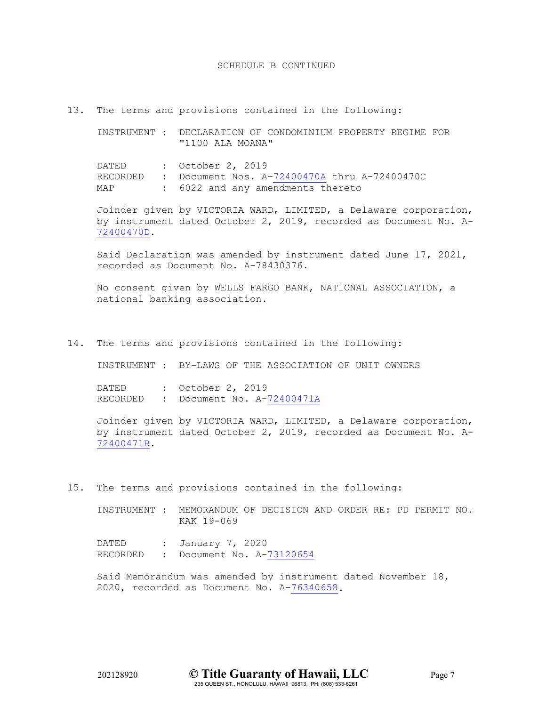13. The terms and provisions contained in the following:

INSTRUMENT : DECLARATION OF CONDOMINIUM PROPERTY REGIME FOR "1100 ALA MOANA" DATED : October 2, 2019 RECORDED : Document Nos.  $A - 72400470A$  thru  $A - 72400470C$ <br>MAP : 6022 and any amendments thereto : 6022 and any amendments thereto

Joinder given by VICTORIA WARD, LIMITED, a Delaware corporation, by instrument dated October 2, 2019, recorded as Document No. A-[72400470D.](https://docservice.tghawaii.com/EDIVH/2d53627852715f516754784f5874374656694f38355132/537179594665587830663831/4c51584c32364a35515973526d434a5835515a5a624d5f37734241524b58474730/)

Said Declaration was amended by instrument dated June 17, 2021, recorded as Document No. A-78430376.

No consent given by WELLS FARGO BANK, NATIONAL ASSOCIATION, a national banking association.

14. The terms and provisions contained in the following:

INSTRUMENT : BY-LAWS OF THE ASSOCIATION OF UNIT OWNERS

DATED : October 2, 2019 RECORDED : Document No. A[-72400471A](https://docservice.tghawaii.com/EDIVH/6a33314b7a6a47553238514b6171464b37734d4d674132/537179594665587830663831/4c51584c32364a35515973526d434a5835515a5a624d5f37734241524b58474730/)

Joinder given by VICTORIA WARD, LIMITED, a Delaware corporation, by instrument dated October 2, 2019, recorded as Document No. A-[72400471B.](https://docservice.tghawaii.com/EDIVH/57434d4932736775585f724b37455f6c55397243685132/537179594665587830663831/4c51584c32364a35515973526d434a5835515a5a624d5f37734241524b58474730/)

15. The terms and provisions contained in the following:

INSTRUMENT : MEMORANDUM OF DECISION AND ORDER RE: PD PERMIT NO. KAK 19-069

DATED : January 7, 2020 RECORDED : Document No. A[-73120654](https://docservice.tghawaii.com/EDIVH/6f5f5267352d38735a786562787736316f6b2d43617732/537179594665587830663831/4c51584c32364a35515973526d434a5835515a5a624d5f37734241524b58474730/)

Said Memorandum was amended by instrument dated November 18, 2020, recorded as Document No. A[-76340658.](https://docservice.tghawaii.com/EDIVH/30436e786b476872337866784b302d4e49697231375132/537179594665587830663831/4c51584c32364a35515973526d434a5835515a5a624d5f37734241524b58474730/)

202128920 **© Title Guaranty of Hawaii, LLC** Page 7 235 QUEEN ST., HONOLULU, HAWAII 96813, PH: (808) 533-6261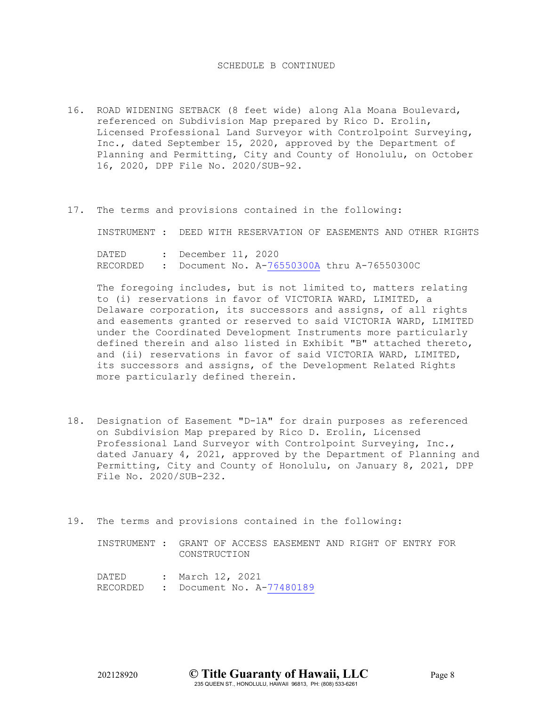- 16. ROAD WIDENING SETBACK (8 feet wide) along Ala Moana Boulevard, referenced on Subdivision Map prepared by Rico D. Erolin, Licensed Professional Land Surveyor with Controlpoint Surveying, Inc., dated September 15, 2020, approved by the Department of Planning and Permitting, City and County of Honolulu, on October 16, 2020, DPP File No. 2020/SUB-92.
- 17. The terms and provisions contained in the following:

INSTRUMENT : DEED WITH RESERVATION OF EASEMENTS AND OTHER RIGHTS

DATED : December 11, 2020 RECORDED : Document No. A[-76550300A](https://docservice.tghawaii.com/EDIVH/68575f5839435a4478306b484b63387072656a776e6732/537179594665587830663831/4c51584c32364a35515973526d434a5835515a5a624d5f37734241524b58474730/) thru A-76550300C

The foregoing includes, but is not limited to, matters relating to (i) reservations in favor of VICTORIA WARD, LIMITED, a Delaware corporation, its successors and assigns, of all rights and easements granted or reserved to said VICTORIA WARD, LIMITED under the Coordinated Development Instruments more particularly defined therein and also listed in Exhibit "B" attached thereto, and (ii) reservations in favor of said VICTORIA WARD, LIMITED, its successors and assigns, of the Development Related Rights more particularly defined therein.

- 18. Designation of Easement "D-1A" for drain purposes as referenced on Subdivision Map prepared by Rico D. Erolin, Licensed Professional Land Surveyor with Controlpoint Surveying, Inc., dated January 4, 2021, approved by the Department of Planning and Permitting, City and County of Honolulu, on January 8, 2021, DPP File No. 2020/SUB-232.
- 19. The terms and provisions contained in the following:

INSTRUMENT : GRANT OF ACCESS EASEMENT AND RIGHT OF ENTRY FOR CONSTRUCTION

DATED : March 12, 2021 RECORDED : Document No. A[-77480189](https://docservice.tghawaii.com/EDIVH/50706d376f6b50456e492d6264757767446b714b394132/537179594665587830663831/4c51584c32364a35515973526d434a5835515a5a624d5f37734241524b58474730/)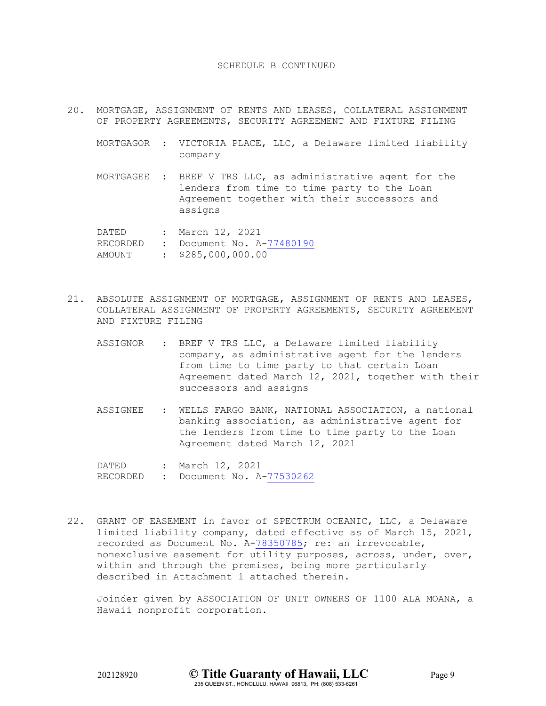- 20. MORTGAGE, ASSIGNMENT OF RENTS AND LEASES, COLLATERAL ASSIGNMENT OF PROPERTY AGREEMENTS, SECURITY AGREEMENT AND FIXTURE FILING
	- MORTGAGOR : VICTORIA PLACE, LLC, a Delaware limited liability company
	- MORTGAGEE : BREF V TRS LLC, as administrative agent for the lenders from time to time party to the Loan Agreement together with their successors and assigns

DATED : March 12, 2021 RECORDED : Document No. A[-77480190](https://docservice.tghawaii.com/EDIVH/5a6964464b303879634f4f456264734759687136377732/537179594665587830663831/4c51584c32364a35515973526d434a5835515a5a624d5f37734241524b58474730/) AMOUNT : \$285,000,000.00

- 21. ABSOLUTE ASSIGNMENT OF MORTGAGE, ASSIGNMENT OF RENTS AND LEASES, COLLATERAL ASSIGNMENT OF PROPERTY AGREEMENTS, SECURITY AGREEMENT AND FIXTURE FILING
	- ASSIGNOR : BREF V TRS LLC, a Delaware limited liability company, as administrative agent for the lenders from time to time party to that certain Loan Agreement dated March 12, 2021, together with their successors and assigns
	- ASSIGNEE : WELLS FARGO BANK, NATIONAL ASSOCIATION, a national banking association, as administrative agent for the lenders from time to time party to the Loan Agreement dated March 12, 2021

DATED : March 12, 2021 RECORDED : Document No. A[-77530262](https://docservice.tghawaii.com/EDIVH/6a3561494a4e664964574c744d6f3251304f55394d7732/537179594665587830663831/4c51584c32364a35515973526d434a5835515a5a624d5f37734241524b58474730/)

22. GRANT OF EASEMENT in favor of SPECTRUM OCEANIC, LLC, a Delaware limited liability company, dated effective as of March 15, 2021, recorded as Document No. A[-78350785;](https://docservice.tghawaii.com/EDIVH/4d53353049524a706b626a4c7672363270786a306a4132/537179594665587830663831/4c51584c32364a35515973526d434a5835515a5a624d5f37734241524b58474730/) re: an irrevocable, nonexclusive easement for utility purposes, across, under, over, within and through the premises, being more particularly described in Attachment 1 attached therein.

Joinder given by ASSOCIATION OF UNIT OWNERS OF 1100 ALA MOANA, a Hawaii nonprofit corporation.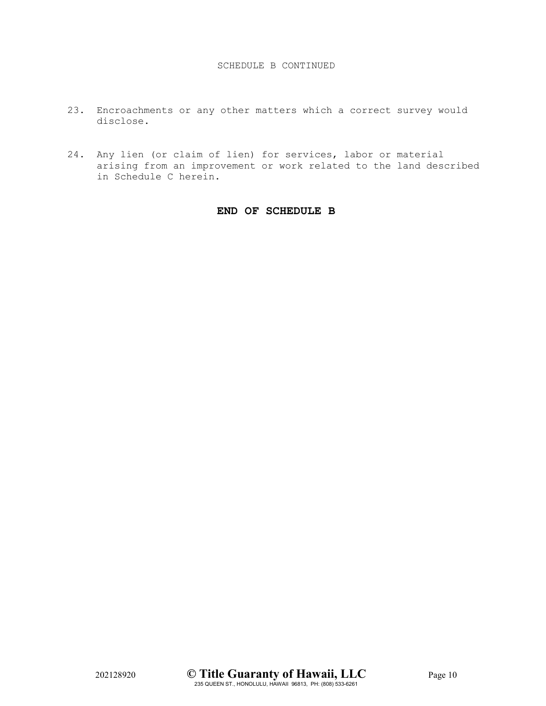- 23. Encroachments or any other matters which a correct survey would disclose.
- 24. Any lien (or claim of lien) for services, labor or material arising from an improvement or work related to the land described in Schedule C herein.

# **END OF SCHEDULE B**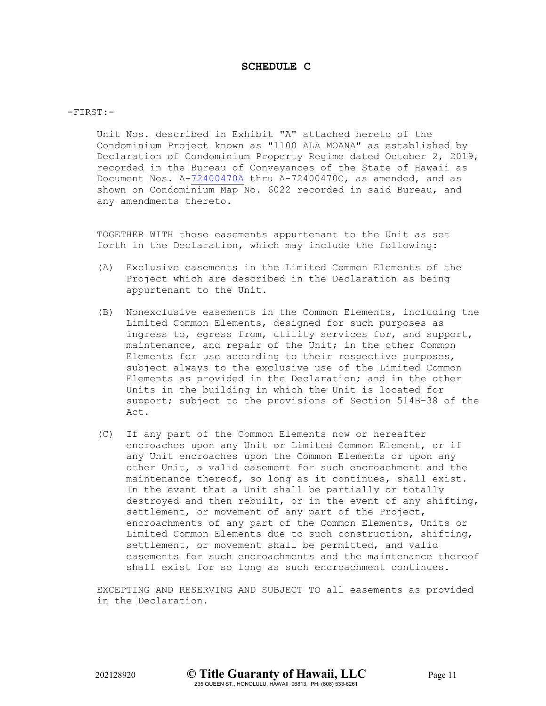# **SCHEDULE C**

-FIRST:-

Unit Nos. described in Exhibit "A" attached hereto of the Condominium Project known as "1100 ALA MOANA" as established by Declaration of Condominium Property Regime dated October 2, 2019, recorded in the Bureau of Conveyances of the State of Hawaii as Document Nos. A[-72400470A](https://docservice.tghawaii.com/EDIVH/64656254322d4c4d49642d36626f586a754e3266794132/537179594665587830663831/4c51584c32364a35515973526d434a5835515a5a624d5f37734241524b58474730/) thru A-72400470C, as amended, and as shown on Condominium Map No. 6022 recorded in said Bureau, and any amendments thereto.

TOGETHER WITH those easements appurtenant to the Unit as set forth in the Declaration, which may include the following:

- (A) Exclusive easements in the Limited Common Elements of the Project which are described in the Declaration as being appurtenant to the Unit.
- (B) Nonexclusive easements in the Common Elements, including the Limited Common Elements, designed for such purposes as ingress to, egress from, utility services for, and support, maintenance, and repair of the Unit; in the other Common Elements for use according to their respective purposes, subject always to the exclusive use of the Limited Common Elements as provided in the Declaration; and in the other Units in the building in which the Unit is located for support; subject to the provisions of Section 514B-38 of the Act.
- (C) If any part of the Common Elements now or hereafter encroaches upon any Unit or Limited Common Element, or if any Unit encroaches upon the Common Elements or upon any other Unit, a valid easement for such encroachment and the maintenance thereof, so long as it continues, shall exist. In the event that a Unit shall be partially or totally destroyed and then rebuilt, or in the event of any shifting, settlement, or movement of any part of the Project, encroachments of any part of the Common Elements, Units or Limited Common Elements due to such construction, shifting, settlement, or movement shall be permitted, and valid easements for such encroachments and the maintenance thereof shall exist for so long as such encroachment continues.

EXCEPTING AND RESERVING AND SUBJECT TO all easements as provided in the Declaration.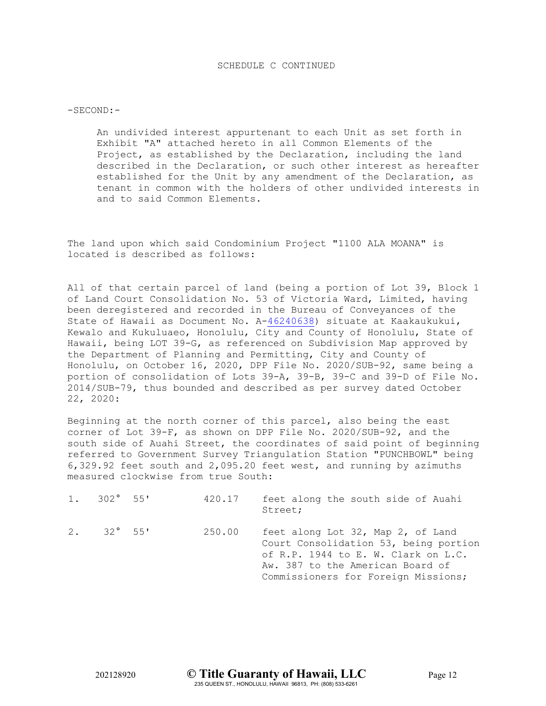### $-SECOND:-$

An undivided interest appurtenant to each Unit as set forth in Exhibit "A" attached hereto in all Common Elements of the Project, as established by the Declaration, including the land described in the Declaration, or such other interest as hereafter established for the Unit by any amendment of the Declaration, as tenant in common with the holders of other undivided interests in and to said Common Elements.

The land upon which said Condominium Project "1100 ALA MOANA" is located is described as follows:

All of that certain parcel of land (being a portion of Lot 39, Block 1 of Land Court Consolidation No. 53 of Victoria Ward, Limited, having been deregistered and recorded in the Bureau of Conveyances of the State of Hawaii as Document No. A[-46240638\)](https://docservice.tghawaii.com/EDIVH/2d356a3176766b7a6a646c547454557836724c47545132/537179594665587830663831/4c51584c32364a35515973526d434a5835515a5a624d5f37734241524b58474730/) situate at Kaakaukukui, Kewalo and Kukuluaeo, Honolulu, City and County of Honolulu, State of Hawaii, being LOT 39-G, as referenced on Subdivision Map approved by the Department of Planning and Permitting, City and County of Honolulu, on October 16, 2020, DPP File No. 2020/SUB-92, same being a portion of consolidation of Lots 39-A, 39-B, 39-C and 39-D of File No. 2014/SUB-79, thus bounded and described as per survey dated October 22, 2020:

Beginning at the north corner of this parcel, also being the east corner of Lot 39-F, as shown on DPP File No. 2020/SUB-92, and the south side of Auahi Street, the coordinates of said point of beginning referred to Government Survey Triangulation Station "PUNCHBOWL" being 6,329.92 feet south and 2,095.20 feet west, and running by azimuths measured clockwise from true South:

| $1. 302^{\circ} 55'$ | 420.17 | feet along the south side of Auahi<br>Street;                                                                                                                                                |
|----------------------|--------|----------------------------------------------------------------------------------------------------------------------------------------------------------------------------------------------|
| $2.32^{\circ} 55'$   | 250.00 | feet along Lot 32, Map 2, of Land<br>Court Consolidation 53, being portion<br>of R.P. 1944 to E. W. Clark on L.C.<br>Aw. 387 to the American Board of<br>Commissioners for Foreign Missions; |

202128920 **© Title Guaranty of Hawaii, LLC** Page 12 235 QUEEN ST., HONOLULU, HAWAII 96813, PH: (808) 533-6261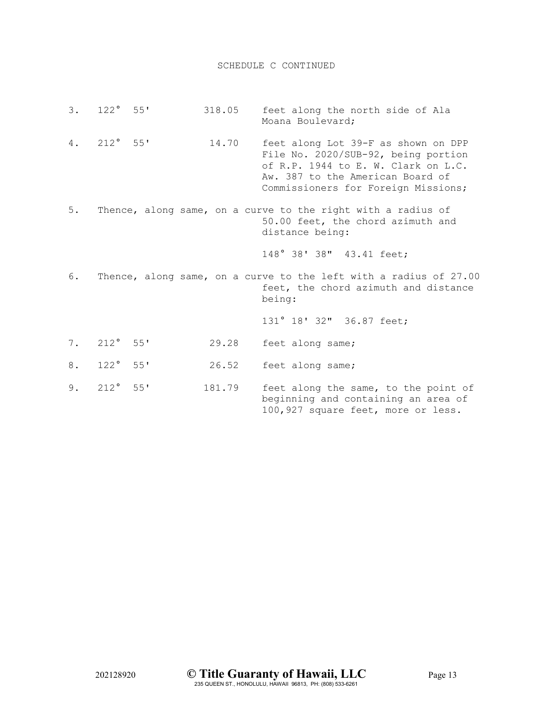- 3. 122° 55' 318.05 feet along the north side of Ala Moana Boulevard;
- 4. 212° 55' 14.70 feet along Lot 39-F as shown on DPP File No. 2020/SUB-92, being portion of R.P. 1944 to E. W. Clark on L.C. Aw. 387 to the American Board of Commissioners for Foreign Missions;
- 5. Thence, along same, on a curve to the right with a radius of 50.00 feet, the chord azimuth and distance being:

148° 38' 38" 43.41 feet;

6. Thence, along same, on a curve to the left with a radius of 27.00 feet, the chord azimuth and distance being:

131° 18' 32" 36.87 feet;

- 7. 212° 55' 29.28 feet along same;
- 8. 122° 55' 26.52 feet along same;
- 9. 212° 55' 181.79 feet along the same, to the point of beginning and containing an area of 100,927 square feet, more or less.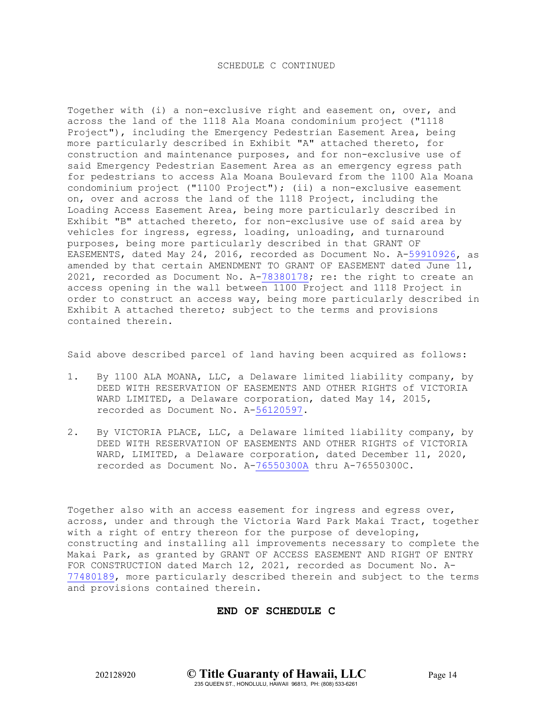Together with (i) a non-exclusive right and easement on, over, and across the land of the 1118 Ala Moana condominium project ("1118 Project"), including the Emergency Pedestrian Easement Area, being more particularly described in Exhibit "A" attached thereto, for construction and maintenance purposes, and for non-exclusive use of said Emergency Pedestrian Easement Area as an emergency egress path for pedestrians to access Ala Moana Boulevard from the 1100 Ala Moana condominium project ("1100 Project"); (ii) a non-exclusive easement on, over and across the land of the 1118 Project, including the Loading Access Easement Area, being more particularly described in Exhibit "B" attached thereto, for non-exclusive use of said area by vehicles for ingress, egress, loading, unloading, and turnaround purposes, being more particularly described in that GRANT OF EASEMENTS, dated May 24, 2016, recorded as Document No. A[-59910926,](https://docservice.tghawaii.com/EDIVH/552d684c4777393864745930735a6b49584f58476c4132/537179594665587830663831/4c51584c32364a35515973526d434a5835515a5a624d5f37734241524b58474730/) as amended by that certain AMENDMENT TO GRANT OF EASEMENT dated June 11, 2021, recorded as Document No. A[-78380178;](https://docservice.tghawaii.com/EDIVH/76635570455f62725669504e505851414f4f73396c6732/537179594665587830663831/4c51584c32364a35515973526d434a5835515a5a624d5f37734241524b58474730/) re: the right to create an access opening in the wall between 1100 Project and 1118 Project in order to construct an access way, being more particularly described in Exhibit A attached thereto; subject to the terms and provisions contained therein.

Said above described parcel of land having been acquired as follows:

- 1. By 1100 ALA MOANA, LLC, a Delaware limited liability company, by DEED WITH RESERVATION OF EASEMENTS AND OTHER RIGHTS of VICTORIA WARD LIMITED, a Delaware corporation, dated May 14, 2015, recorded as Document No. A[-56120597.](https://docservice.tghawaii.com/EDIVH/4631783062744a65427839647a57302d51393530434132/537179594665587830663831/4c51584c32364a35515973526d434a5835515a5a624d5f37734241524b58474730/)
- 2. By VICTORIA PLACE, LLC, a Delaware limited liability company, by DEED WITH RESERVATION OF EASEMENTS AND OTHER RIGHTS of VICTORIA WARD, LIMITED, a Delaware corporation, dated December 11, 2020, recorded as Document No. A[-76550300A](https://docservice.tghawaii.com/EDIVH/68575f5839435a4478306b484b63387072656a776e6732/537179594665587830663831/4c51584c32364a35515973526d434a5835515a5a624d5f37734241524b58474730/) thru A-76550300C.

Together also with an access easement for ingress and egress over, across, under and through the Victoria Ward Park Makai Tract, together with a right of entry thereon for the purpose of developing, constructing and installing all improvements necessary to complete the Makai Park, as granted by GRANT OF ACCESS EASEMENT AND RIGHT OF ENTRY FOR CONSTRUCTION dated March 12, 2021, recorded as Document No. A-[77480189,](https://docservice.tghawaii.com/EDIVH/50706d376f6b50456e492d6264757767446b714b394132/537179594665587830663831/4c51584c32364a35515973526d434a5835515a5a624d5f37734241524b58474730/) more particularly described therein and subject to the terms and provisions contained therein.

# **END OF SCHEDULE C**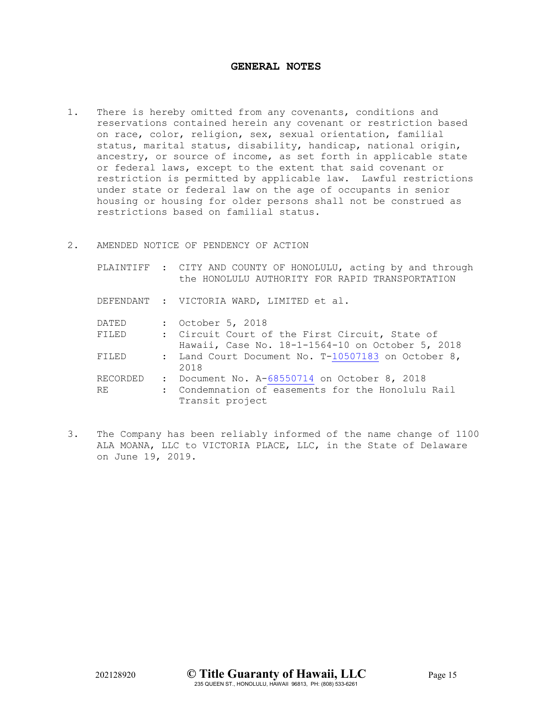# **GENERAL NOTES**

- 1. There is hereby omitted from any covenants, conditions and reservations contained herein any covenant or restriction based on race, color, religion, sex, sexual orientation, familial status, marital status, disability, handicap, national origin, ancestry, or source of income, as set forth in applicable state or federal laws, except to the extent that said covenant or restriction is permitted by applicable law. Lawful restrictions under state or federal law on the age of occupants in senior housing or housing for older persons shall not be construed as restrictions based on familial status.
- 2. AMENDED NOTICE OF PENDENCY OF ACTION

|              | PLAINTIFF : CITY AND COUNTY OF HONOLULU, acting by and through<br>the HONOLULU AUTHORITY FOR RAPID TRANSPORTATION |
|--------------|-------------------------------------------------------------------------------------------------------------------|
|              | DEFENDANT : VICTORIA WARD, LIMITED et al.                                                                         |
| DATED        | : October 5, 2018                                                                                                 |
| FILED        | : Circuit Court of the First Circuit, State of<br>Hawaii, Case No. 18-1-1564-10 on October 5, 2018                |
| <b>FTLED</b> | : Land Court Document No. T-10507183 on October 8,<br>2018                                                        |
| RECORDED     | : Document No. A-68550714 on October 8, 2018                                                                      |
| <b>RE</b>    | : Condemnation of easements for the Honolulu Rail<br>Transit project                                              |

3. The Company has been reliably informed of the name change of 1100 ALA MOANA, LLC to VICTORIA PLACE, LLC, in the State of Delaware on June 19, 2019.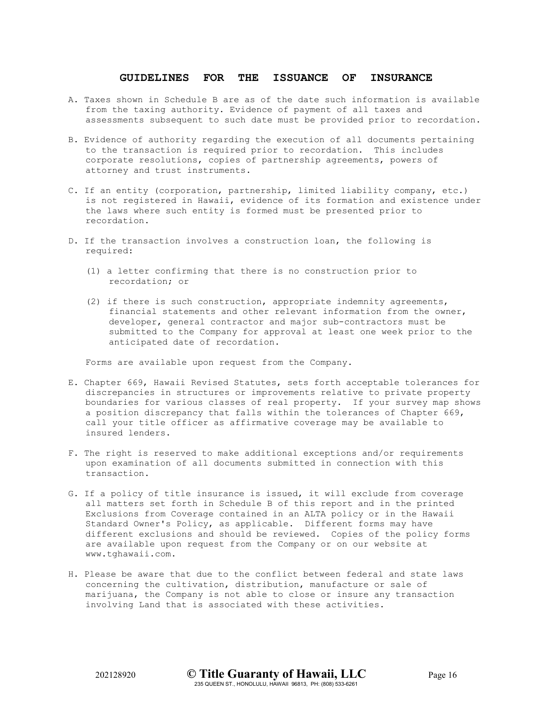### **GUIDELINES FOR THE ISSUANCE OF INSURANCE**

- A. Taxes shown in Schedule B are as of the date such information is available from the taxing authority. Evidence of payment of all taxes and assessments subsequent to such date must be provided prior to recordation.
- B. Evidence of authority regarding the execution of all documents pertaining to the transaction is required prior to recordation. This includes corporate resolutions, copies of partnership agreements, powers of attorney and trust instruments.
- C. If an entity (corporation, partnership, limited liability company, etc.) is not registered in Hawaii, evidence of its formation and existence under the laws where such entity is formed must be presented prior to recordation.
- D. If the transaction involves a construction loan, the following is required:
	- (1) a letter confirming that there is no construction prior to recordation; or
	- (2) if there is such construction, appropriate indemnity agreements, financial statements and other relevant information from the owner, developer, general contractor and major sub-contractors must be submitted to the Company for approval at least one week prior to the anticipated date of recordation.

Forms are available upon request from the Company.

- E. Chapter 669, Hawaii Revised Statutes, sets forth acceptable tolerances for discrepancies in structures or improvements relative to private property boundaries for various classes of real property. If your survey map shows a position discrepancy that falls within the tolerances of Chapter 669, call your title officer as affirmative coverage may be available to insured lenders.
- F. The right is reserved to make additional exceptions and/or requirements upon examination of all documents submitted in connection with this transaction.
- G. If a policy of title insurance is issued, it will exclude from coverage all matters set forth in Schedule B of this report and in the printed Exclusions from Coverage contained in an ALTA policy or in the Hawaii Standard Owner's Policy, as applicable. Different forms may have different exclusions and should be reviewed. Copies of the policy forms are available upon request from the Company or on our website at www.tghawaii.com.
- H. Please be aware that due to the conflict between federal and state laws concerning the cultivation, distribution, manufacture or sale of marijuana, the Company is not able to close or insure any transaction involving Land that is associated with these activities.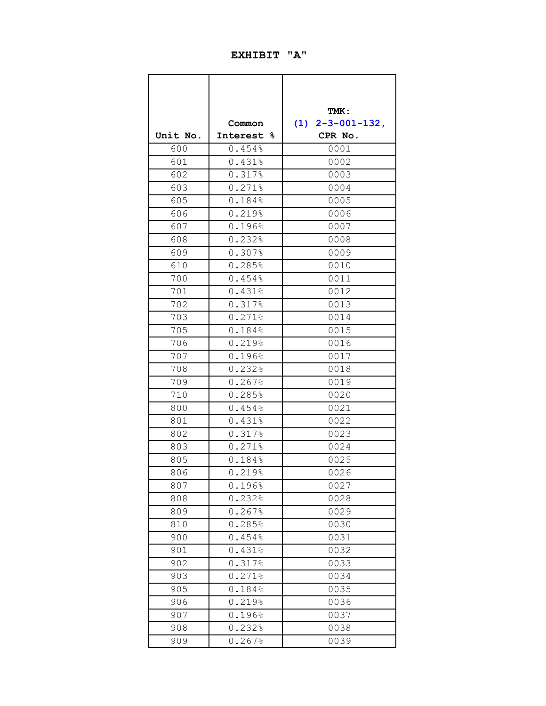# **EXHIBIT "A"**

|          |               | TMK:                         |
|----------|---------------|------------------------------|
|          | Common        | $2 - 3 - 001 - 132$ ,<br>(1) |
| Unit No. | Interest<br>୫ | CPR No.                      |
| 600      | 0.454%        | 0001                         |
| 601      | 0.431%        | 0002                         |
| 602      | 0.317%        | 0003                         |
| 603      | 0.271%        | 0004                         |
| 605      | 0.184%        | 0005                         |
| 606      | 0.219%        | 0006                         |
| 607      | 0.196%        | 0007                         |
| 608      | 0.232%        | 0008                         |
| 609      | 0.307%        | 0009                         |
| 610      | 0.285%        | 0010                         |
| 700      | 0.454%        | 0011                         |
| 701      | 0.431%        | 0012                         |
| 702      | 0.317%        | 0013                         |
| 703      | 0.271%        | 0014                         |
| 705      | 0.184%        | 0015                         |
| 706      | 0.219%        | 0016                         |
| 707      | 0.196%        | 0017                         |
| 708      | 0.232%        | 0018                         |
| 709      | 0.267%        | 0019                         |
| 710      | 0.285%        | 0020                         |
| 800      | 0.454%        | 0021                         |
| 801      | 0.431%        | 0022                         |
| 802      | 0.317%        | 0023                         |
| 803      | 0.271%        | 0024                         |
| 805      | 0.184%        | 0025                         |
| 806      | 0.219%        | 0026                         |
| 807      | 0.196%        | 0027                         |
| 808      | 0.232%        | 0028                         |
| 809      | 0.267%        | 0029                         |
| 810      | 0.285%        | 0030                         |
| 900      | 0.454%        | 0031                         |
| 901      | 0.431%        | 0032                         |
| 902      | 0.317%        | 0033                         |
| 903      | 0.271%        | 0034                         |
| 905      | 0.184%        | 0035                         |
| 906      | 0.219%        | 0036                         |
| 907      | 0.196%        | 0037                         |
| 908      | 0.232%        | 0038                         |
| 909      | 0.267%        | 0039                         |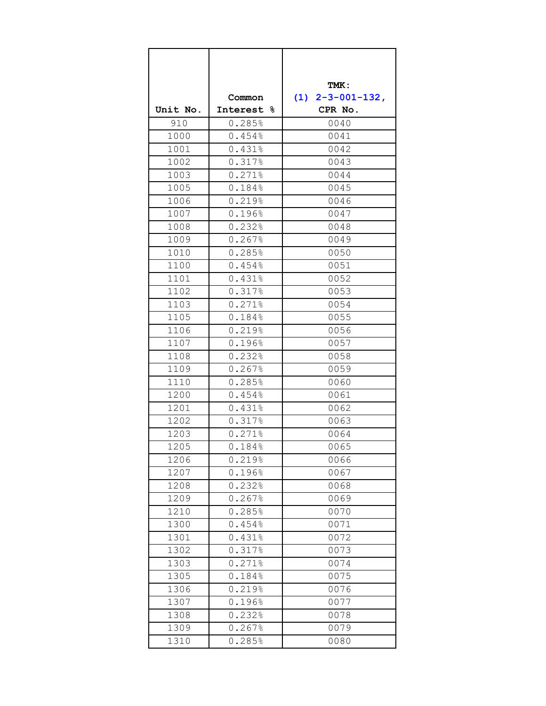|          |            | TMK:               |  |
|----------|------------|--------------------|--|
|          | Common     | $(1)$ 2-3-001-132, |  |
| Unit No. | Interest % | CPR No.            |  |
| 910      | 0.285%     | 0040               |  |
| 1000     | 0.454%     | 0041               |  |
| 1001     | 0.431%     | 0042               |  |
| 1002     | 0.317%     | 0043               |  |
| 1003     | 0.271%     | 0044               |  |
| 1005     | 0.184%     | 0045               |  |
| 1006     | 0.219%     | 0046               |  |
| 1007     | 0.196%     | 0047               |  |
| 1008     | 0.232%     | 0048               |  |
| 1009     | 0.267%     | 0049               |  |
| 1010     | 0.285%     | 0050               |  |
| 1100     | 0.454%     | 0051               |  |
| 1101     | 0.431%     | 0052               |  |
| 1102     | 0.317%     | 0053               |  |
| 1103     | 0.271%     | 0054               |  |
| 1105     | 0.184%     | 0055               |  |
| 1106     | 0.219%     | 0056               |  |
| 1107     | 0.196%     | 0057               |  |
| 1108     | 0.232%     | 0058               |  |
| 1109     | 0.267%     | 0059               |  |
| 1110     | 0.285%     | 0060               |  |
| 1200     | 0.454%     | 0061               |  |
| 1201     | 0.431%     | 0062               |  |
| 1202     | 0.317%     | 0063               |  |
| 1203     | 0.271%     | 0064               |  |
| 1205     | 0.184%     | 0065               |  |
| 1206     | 0.219%     | 0066               |  |
| 1207     | 0.196%     | 0067               |  |
| 1208     | 0.232%     | 0068               |  |
| 1209     | 0.267%     | 0069               |  |
| 1210     | 0.285%     | 0070               |  |
| 1300     | 0.454%     | 0071               |  |
| 1301     | 0.431%     | 0072               |  |
| 1302     | 0.317%     | 0073               |  |
| 1303     | 0.271%     | 0074               |  |
| 1305     | 0.184%     | 0075               |  |
| 1306     | 0.219%     | 0076               |  |
| 1307     | 0.196%     | 0077               |  |
| 1308     | 0.232%     | 0078               |  |
| 1309     | 0.267%     | 0079               |  |
| 1310     | 0.285%     | 0080               |  |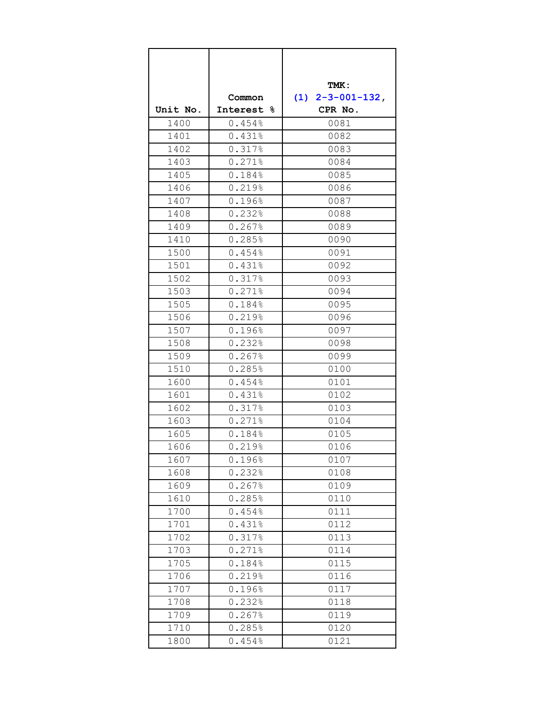|          |                      | TMK:               |  |
|----------|----------------------|--------------------|--|
|          | Common               | $(1)$ 2-3-001-132, |  |
| Unit No. | Interest %           | CPR No.            |  |
| 1400     | 0.454%               | 0081               |  |
| 1401     | 0.431%               | 0082               |  |
| 1402     | 0.317%               | 0083               |  |
| 1403     | 0.271%               | 0084               |  |
| 1405     | 0.184%               | 0085               |  |
| 1406     | 0.219%               | 0086               |  |
| 1407     | 0.196%               | 0087               |  |
| 1408     | 0.232%               | 0088               |  |
| 1409     | 0.267%               | 0089               |  |
| 1410     | 0.285%               | 0090               |  |
| 1500     | 0.454%               | 0091               |  |
| 1501     | 0.431%               | 0092               |  |
| 1502     | 0.317%               | 0093               |  |
| 1503     | 0.271%               | 0094               |  |
| 1505     | 0.184%               | 0095               |  |
| 1506     | 0.219%               | 0096               |  |
| 1507     | 0.196%               | 0097               |  |
| 1508     | 0.232%               | 0098               |  |
| 1509     | 0.267%               | 0099               |  |
| 1510     | 0.285%               | 0100               |  |
| 1600     | 0.454%               | 0101               |  |
| 1601     | 0.431%               | 0102               |  |
| 1602     | 0.317%               | 0103               |  |
| 1603     | 0.271%               | 0104               |  |
| 1605     | 0.184%               | 0105               |  |
| 1606     | 0.219%               | 0106               |  |
| 1607     | 0.196%               | 0107               |  |
| 1608     | $0.232$ <sup>8</sup> | 0108               |  |
| 1609     | 0.267%               | 0109               |  |
| 1610     | 0.285%               | 0110               |  |
| 1700     | 0.454%               | 0111               |  |
| 1701     | 0.431%               | 0112               |  |
| 1702     | 0.317%               | 0113               |  |
| 1703     | 0.271%               | 0114               |  |
| 1705     | 0.184%               | 0115               |  |
| 1706     | 0.219%               | 0116               |  |
| 1707     | 0.196%               | 0117               |  |
| 1708     | 0.232%               | 0118               |  |
| 1709     | 0.267%               | 0119               |  |
| 1710     | 0.285%               | 0120               |  |
| 1800     | 0.454%               | 0121               |  |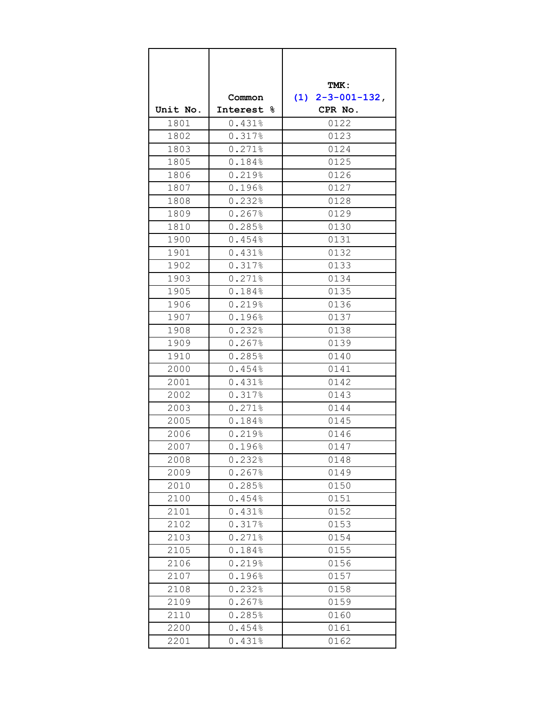|          |            | TMK:               |
|----------|------------|--------------------|
|          | Common     | $(1)$ 2-3-001-132, |
| Unit No. | Interest % | CPR No.            |
| 1801     | 0.431%     | 0122               |
| 1802     | 0.317%     | 0123               |
| 1803     | 0.271%     | 0124               |
| 1805     | 0.184%     | 0125               |
| 1806     | 0.219%     | 0126               |
| 1807     | 0.196%     | 0127               |
| 1808     | 0.232%     | 0128               |
| 1809     | 0.267%     | 0129               |
| 1810     | 0.285%     | 0130               |
| 1900     | 0.454%     | 0131               |
| 1901     | 0.431%     | 0132               |
| 1902     | 0.317%     | 0133               |
| 1903     | 0.271%     | 0134               |
| 1905     | 0.184%     | 0135               |
| 1906     | 0.219%     | 0136               |
| 1907     | 0.196%     | 0137               |
| 1908     | 0.232%     | 0138               |
| 1909     | 0.267%     | 0139               |
| 1910     | 0.285%     | 0140               |
| 2000     | 0.454%     | 0141               |
| 2001     | 0.431%     | 0142               |
| 2002     | 0.317%     | 0143               |
| 2003     | 0.271%     | 0144               |
| 2005     | 0.184%     | 0145               |
| 2006     | 0.219%     | 0146               |
| 2007     | 0.196%     | 0147               |
| 2008     | 0.232%     | 0148               |
| 2009     | 0.267%     | 0149               |
| 2010     | 0.285%     | 0150               |
| 2100     | 0.454%     | 0151               |
| 2101     | 0.431%     | 0152               |
| 2102     | 0.317%     | 0153               |
| 2103     | 0.271%     | 0154               |
| 2105     | 0.184%     | 0155               |
| 2106     | 0.219%     | 0156               |
| 2107     | 0.196%     | 0157               |
| 2108     | 0.232%     | 0158               |
| 2109     | 0.267%     | 0159               |
| 2110     | 0.285%     | 0160               |
| 2200     | 0.454%     | 0161               |
| 2201     | 0.431%     | 0162               |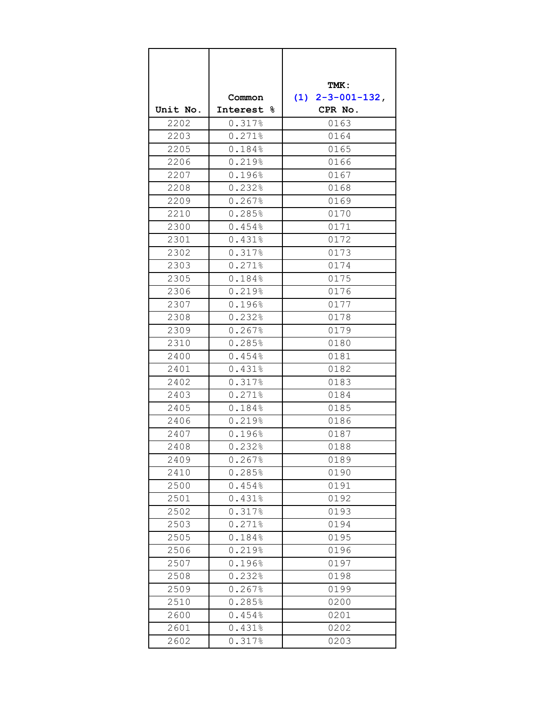|          |            | TMK:               |
|----------|------------|--------------------|
|          | Common     | $(1)$ 2-3-001-132, |
| Unit No. | Interest & | CPR No.            |
| 2202     | 0.317%     | 0163               |
| 2203     | 0.271%     | 0164               |
| 2205     | 0.184%     | 0165               |
| 2206     | 0.219%     | 0166               |
| 2207     | 0.196%     | 0167               |
| 2208     | 0.232%     | 0168               |
| 2209     | 0.267%     | 0169               |
| 2210     | 0.285%     | 0170               |
| 2300     | 0.454%     | 0171               |
| 2301     | 0.431%     | 0172               |
| 2302     | 0.317%     | 0173               |
| 2303     | 0.271%     | 0174               |
| 2305     | 0.184%     | 0175               |
| 2306     | 0.219%     | 0176               |
| 2307     | 0.196%     | 0177               |
| 2308     | 0.232%     | 0178               |
| 2309     | 0.267%     | 0179               |
| 2310     | 0.285%     | 0180               |
| 2400     | 0.454%     | 0181               |
| 2401     | 0.431%     | 0182               |
| 2402     | 0.317%     | 0183               |
| 2403     | 0.271%     | 0184               |
| 2405     | 0.184%     | 0185               |
| 2406     | 0.219%     | 0186               |
| 2407     | 0.196%     | 0187               |
| 2408     | 0.232%     | 0188               |
| 2409     | 0.267%     | 0189               |
| 2410     | 0.285%     | 0190               |
| 2500     | 0.454%     | 0191               |
| 2501     | 0.431%     | 0192               |
| 2502     | 0.317%     | 0193               |
| 2503     | 0.271%     | 0194               |
| 2505     | 0.184%     | 0195               |
| 2506     | 0.219%     | 0196               |
| 2507     | 0.196%     | 0197               |
| 2508     | 0.232%     | 0198               |
| 2509     | 0.267%     | 0199               |
| 2510     | 0.285%     | 0200               |
| 2600     | 0.454%     | 0201               |
| 2601     | 0.431%     | 0202               |
| 2602     | 0.317%     | 0203               |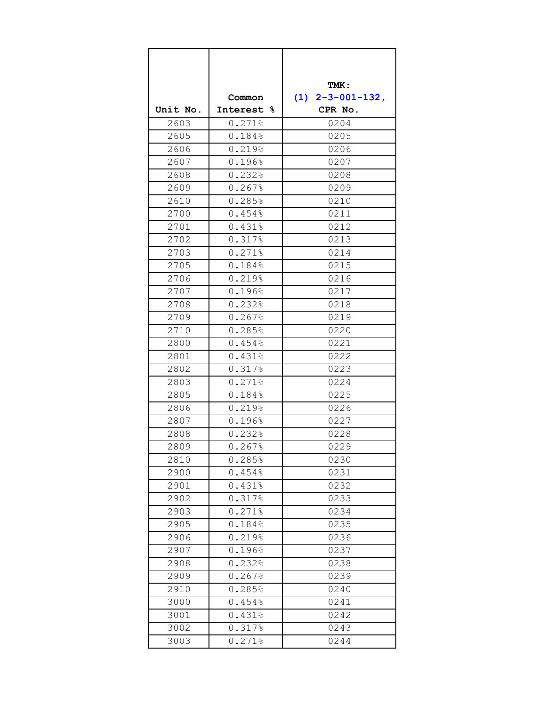|          |                      | TMK:                         |
|----------|----------------------|------------------------------|
|          | Common               | (1)<br>$2 - 3 - 001 - 132$ , |
| Unit No. | Interest &           | CPR No.                      |
| 2603     | 0.271%               | 0204                         |
| 2605     | 0.184%               | 0205                         |
| 2606     | 0.219%               | 0206                         |
| 2607     | 0.196%               | 0207                         |
| 2608     | 0.232%               | 0208                         |
| 2609     | 0.267%               | 0209                         |
| 2610     | 0.285%               | 0210                         |
| 2700     | 0.454%               | 0211                         |
| 2701     | 0.431%               | 0212                         |
| 2702     | 0.317%               | 0213                         |
| 2703     | 0.271%               | 0214                         |
| 2705     | 0.184%               | 0215                         |
| 2706     | 0.219%               | 0216                         |
| 2707     | 0.196%               | 0217                         |
| 2708     | 0.232%               | 0218                         |
| 2709     | 0.267%               | 0219                         |
| 2710     | 0.285%               | 0220                         |
| 2800     | 0.454%               | 0221                         |
| 2801     | 0.431%               | 0222                         |
| 2802     | 0.317%               | 0223                         |
| 2803     | 0.271%               | 0224                         |
| 2805     | 0.184%               | 0225                         |
| 2806     | 0.219%               | 0226                         |
| 2807     | 0.196%               | 0227                         |
| 2808     | 0.232%               | 0228                         |
| 2809     | $0.267$ <sup>8</sup> | 0229                         |
| 2810     | 0.285%               | 0230                         |
| 2900     | 0.454%               | 0231                         |
| 2901     | 0.431%               | 0232                         |
| 2902     | 0.317%               | 0233                         |
| 2903     | 0.271%               | 0234                         |
| 2905     | 0.184%               | 0235                         |
| 2906     | 0.219%               | 0236                         |
| 2907     | 0.196%               | 0237                         |
| 2908     | 0.232%               | 0238                         |
| 2909     | 0.267%               | 0239                         |
| 2910     | 0.285%               | 0240                         |
| 3000     | 0.454%               | 0241                         |
| 3001     | 0.431%               | 0242                         |
| 3002     | 0.317%               | 0243                         |
| 3003     | 0.271%               | 0244                         |
|          |                      |                              |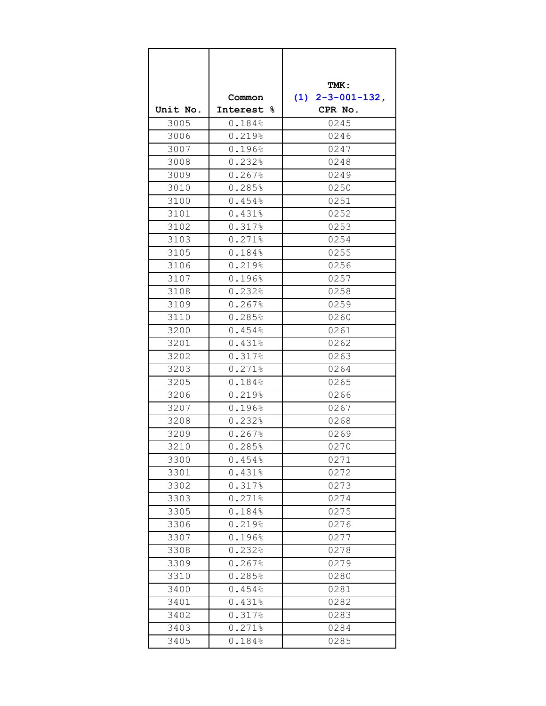|          |                      | TMK:               |  |
|----------|----------------------|--------------------|--|
|          | Common               | $(1)$ 2-3-001-132, |  |
| Unit No. | Interest &           | CPR No.            |  |
| 3005     | 0.184%               | 0245               |  |
| 3006     | 0.219%               | 0246               |  |
| 3007     | 0.196%               | 0247               |  |
| 3008     | 0.232%               | 0248               |  |
| 3009     | 0.267%               | 0249               |  |
| 3010     | 0.285%               | 0250               |  |
| 3100     | 0.454%               | 0251               |  |
| 3101     | 0.431%               | 0252               |  |
| 3102     | 0.317%               | 0253               |  |
| 3103     | 0.271%               | 0254               |  |
| 3105     | 0.184%               | 0255               |  |
| 3106     | 0.219%               | 0256               |  |
| 3107     | 0.196%               | 0257               |  |
| 3108     | 0.232%               | 0258               |  |
| 3109     | 0.267%               | 0259               |  |
| 3110     | 0.285%               | 0260               |  |
| 3200     | 0.454%               | 0261               |  |
| 3201     | 0.431%               | 0262               |  |
| 3202     | 0.317%               | 0263               |  |
| 3203     | 0.271%               | 0264               |  |
| 3205     | 0.184%               | 0265               |  |
| 3206     | 0.219%               | 0266               |  |
| 3207     | 0.196%               | 0267               |  |
| 3208     | 0.232%               | 0268               |  |
| 3209     | $0.267$ <sup>8</sup> | 0269               |  |
| 3210     | 0.285%               | 0270               |  |
| 3300     | 0.454%               | 0271               |  |
| 3301     | 0.431%               | 0272               |  |
| 3302     | 0.317%               | 0273               |  |
| 3303     | 0.271%               | 0274               |  |
| 3305     | 0.184%               | 0275               |  |
| 3306     | 0.219%               | 0276               |  |
| 3307     | 0.196%               | 0277               |  |
| 3308     | 0.232%               | 0278               |  |
| 3309     | 0.267%               | 0279               |  |
| 3310     | 0.285%               | 0280               |  |
| 3400     | 0.454%               | 0281               |  |
| 3401     | 0.431%               | 0282               |  |
| 3402     | 0.317%               | 0283               |  |
| 3403     | $0.271$ %            | 0284               |  |
| 3405     | 0.184%               | 0285               |  |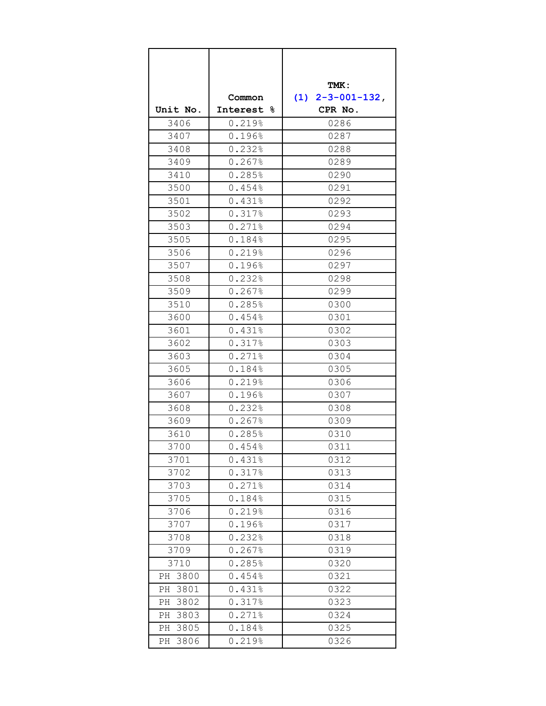|            |            | TMK:               |
|------------|------------|--------------------|
|            | Common     | $(1)$ 2-3-001-132, |
| Unit No.   | Interest & | CPR No.            |
| 3406       | 0.219%     | 0286               |
| 3407       | 0.196%     | 0287               |
| 3408       | 0.232%     | 0288               |
| 3409       | 0.267%     | 0289               |
| 3410       | 0.285%     | 0290               |
| 3500       | 0.454%     | 0291               |
| 3501       | 0.431%     | 0292               |
| 3502       | 0.317%     | 0293               |
| 3503       | 0.271%     | 0294               |
| 3505       | 0.184%     | 0295               |
| 3506       | 0.219%     | 0296               |
| 3507       | 0.196%     | 0297               |
| 3508       | 0.232%     | 0298               |
| 3509       | 0.267%     | 0299               |
| 3510       | 0.285%     | 0300               |
| 3600       | 0.454%     | 0301               |
| 3601       | 0.431%     | 0302               |
| 3602       | 0.317%     | 0303               |
| 3603       | 0.271%     | 0304               |
| 3605       | 0.184%     | 0305               |
| 3606       | 0.219%     | 0306               |
| 3607       | 0.196%     | 0307               |
| 3608       | 0.232%     | 0308               |
| 3609       | 0.267%     | 0309               |
| 3610       | 0.285%     | 0310               |
| 3700       | 0.454%     | 0311               |
| 3701       | 0.431%     | 0312               |
| 3702       | 0.317%     | 0313               |
| 3703       | 0.271%     | 0314               |
| 3705       | 0.184%     | 0315               |
| 3706       | 0.219%     | 0316               |
| 3707       | 0.196%     | 0317               |
| 3708       | 0.232%     | 0318               |
| 3709       | 0.267%     | 0319               |
| 3710       | 0.285%     | 0320               |
| PH 3800    | 0.454%     | 0321               |
| 3801<br>РH | 0.431%     | 0322               |
| 3802<br>РH | 0.317%     | 0323               |
| 3803<br>PH | 0.271%     | 0324               |
| 3805<br>РH | 0.184%     | 0325               |
| 3806<br>PH | 0.219%     | 0326               |